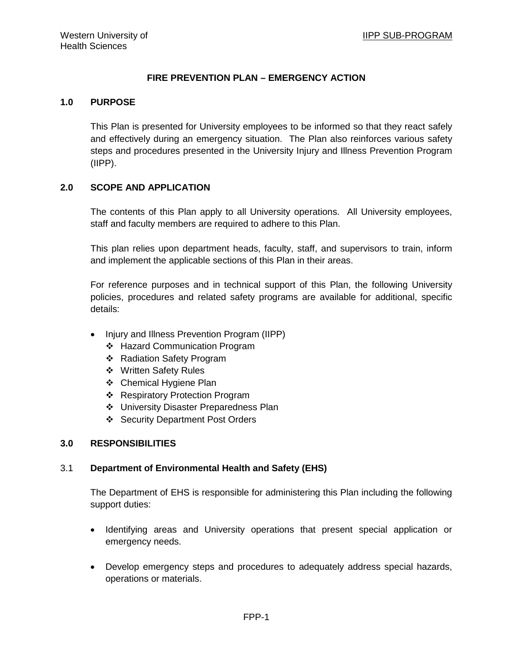# **FIRE PREVENTION PLAN – EMERGENCY ACTION**

### **1.0 PURPOSE**

This Plan is presented for University employees to be informed so that they react safely and effectively during an emergency situation. The Plan also reinforces various safety steps and procedures presented in the University Injury and Illness Prevention Program (IIPP).

# **2.0 SCOPE AND APPLICATION**

The contents of this Plan apply to all University operations. All University employees, staff and faculty members are required to adhere to this Plan.

This plan relies upon department heads, faculty, staff, and supervisors to train, inform and implement the applicable sections of this Plan in their areas.

For reference purposes and in technical support of this Plan, the following University policies, procedures and related safety programs are available for additional, specific details:

- Injury and Illness Prevention Program (IIPP)
	- Hazard Communication Program
	- Radiation Safety Program
	- Written Safety Rules
	- Chemical Hygiene Plan
	- ❖ Respiratory Protection Program
	- University Disaster Preparedness Plan
	- ❖ Security Department Post Orders

# **3.0 RESPONSIBILITIES**

# 3.1 **Department of Environmental Health and Safety (EHS)**

The Department of EHS is responsible for administering this Plan including the following support duties:

- Identifying areas and University operations that present special application or emergency needs.
- Develop emergency steps and procedures to adequately address special hazards, operations or materials.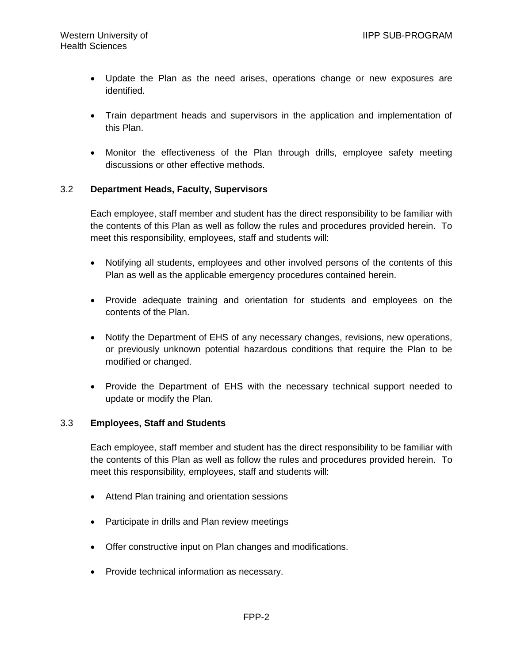- Update the Plan as the need arises, operations change or new exposures are identified.
- Train department heads and supervisors in the application and implementation of this Plan.
- Monitor the effectiveness of the Plan through drills, employee safety meeting discussions or other effective methods.

# 3.2 **Department Heads, Faculty, Supervisors**

Each employee, staff member and student has the direct responsibility to be familiar with the contents of this Plan as well as follow the rules and procedures provided herein. To meet this responsibility, employees, staff and students will:

- Notifying all students, employees and other involved persons of the contents of this Plan as well as the applicable emergency procedures contained herein.
- Provide adequate training and orientation for students and employees on the contents of the Plan.
- Notify the Department of EHS of any necessary changes, revisions, new operations, or previously unknown potential hazardous conditions that require the Plan to be modified or changed.
- Provide the Department of EHS with the necessary technical support needed to update or modify the Plan.

# 3.3 **Employees, Staff and Students**

Each employee, staff member and student has the direct responsibility to be familiar with the contents of this Plan as well as follow the rules and procedures provided herein. To meet this responsibility, employees, staff and students will:

- Attend Plan training and orientation sessions
- Participate in drills and Plan review meetings
- Offer constructive input on Plan changes and modifications.
- Provide technical information as necessary.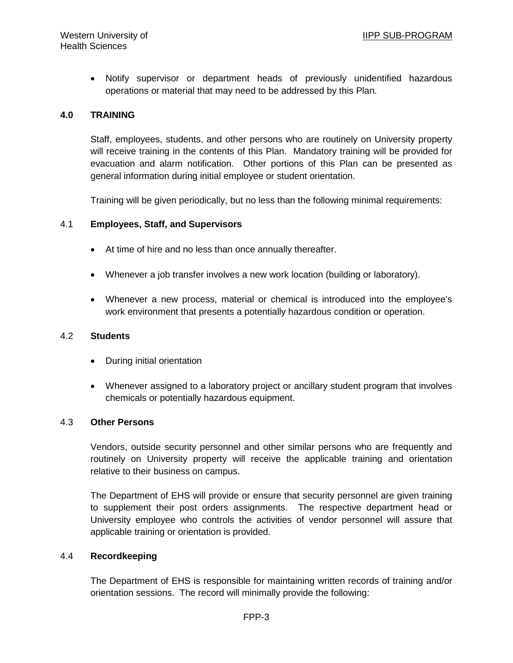• Notify supervisor or department heads of previously unidentified hazardous operations or material that may need to be addressed by this Plan.

## **4.0 TRAINING**

Staff, employees, students, and other persons who are routinely on University property will receive training in the contents of this Plan. Mandatory training will be provided for evacuation and alarm notification. Other portions of this Plan can be presented as general information during initial employee or student orientation.

Training will be given periodically, but no less than the following minimal requirements:

### 4.1 **Employees, Staff, and Supervisors**

- At time of hire and no less than once annually thereafter.
- Whenever a job transfer involves a new work location (building or laboratory).
- Whenever a new process, material or chemical is introduced into the employee's work environment that presents a potentially hazardous condition or operation.

### 4.2 **Students**

- During initial orientation
- Whenever assigned to a laboratory project or ancillary student program that involves chemicals or potentially hazardous equipment.

### 4.3 **Other Persons**

Vendors, outside security personnel and other similar persons who are frequently and routinely on University property will receive the applicable training and orientation relative to their business on campus.

The Department of EHS will provide or ensure that security personnel are given training to supplement their post orders assignments. The respective department head or University employee who controls the activities of vendor personnel will assure that applicable training or orientation is provided.

### 4.4 **Recordkeeping**

The Department of EHS is responsible for maintaining written records of training and/or orientation sessions. The record will minimally provide the following: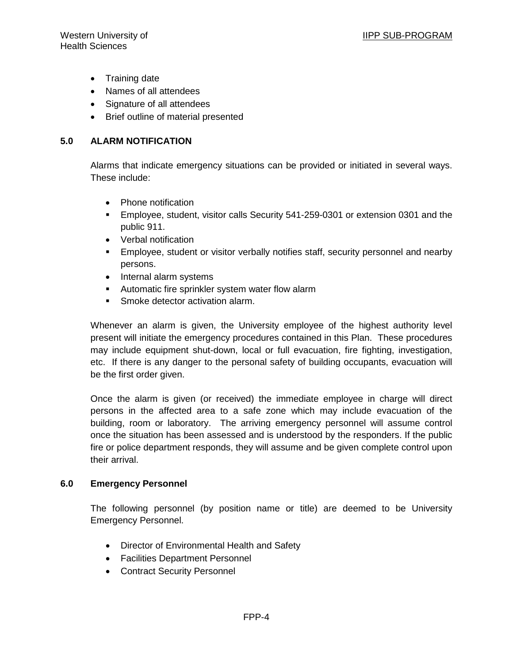- Training date
- Names of all attendees
- Signature of all attendees
- Brief outline of material presented

# **5.0 ALARM NOTIFICATION**

Alarms that indicate emergency situations can be provided or initiated in several ways. These include:

- Phone notification
- Employee, student, visitor calls Security 541-259-0301 or extension 0301 and the public 911.
- Verbal notification
- **Employee, student or visitor verbally notifies staff, security personnel and nearby** persons.
- Internal alarm systems
- **Automatic fire sprinkler system water flow alarm**
- Smoke detector activation alarm.

Whenever an alarm is given, the University employee of the highest authority level present will initiate the emergency procedures contained in this Plan. These procedures may include equipment shut-down, local or full evacuation, fire fighting, investigation, etc. If there is any danger to the personal safety of building occupants, evacuation will be the first order given.

Once the alarm is given (or received) the immediate employee in charge will direct persons in the affected area to a safe zone which may include evacuation of the building, room or laboratory. The arriving emergency personnel will assume control once the situation has been assessed and is understood by the responders. If the public fire or police department responds, they will assume and be given complete control upon their arrival.

# **6.0 Emergency Personnel**

The following personnel (by position name or title) are deemed to be University Emergency Personnel.

- Director of Environmental Health and Safety
- Facilities Department Personnel
- Contract Security Personnel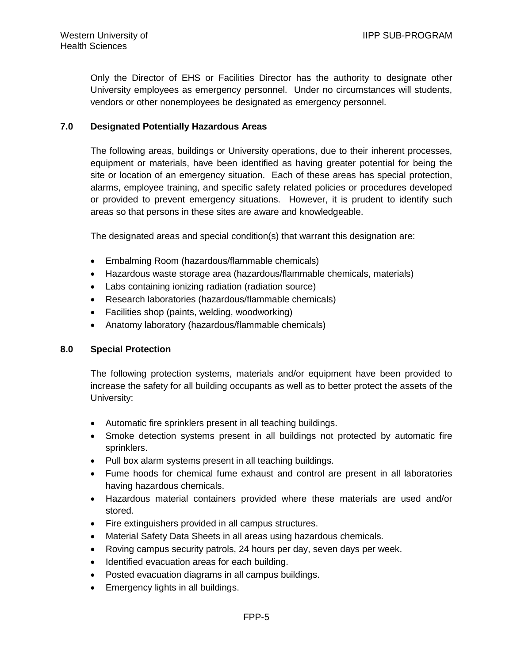Only the Director of EHS or Facilities Director has the authority to designate other University employees as emergency personnel. Under no circumstances will students, vendors or other nonemployees be designated as emergency personnel.

# **7.0 Designated Potentially Hazardous Areas**

The following areas, buildings or University operations, due to their inherent processes, equipment or materials, have been identified as having greater potential for being the site or location of an emergency situation. Each of these areas has special protection, alarms, employee training, and specific safety related policies or procedures developed or provided to prevent emergency situations. However, it is prudent to identify such areas so that persons in these sites are aware and knowledgeable.

The designated areas and special condition(s) that warrant this designation are:

- Embalming Room (hazardous/flammable chemicals)
- Hazardous waste storage area (hazardous/flammable chemicals, materials)
- Labs containing ionizing radiation (radiation source)
- Research laboratories (hazardous/flammable chemicals)
- Facilities shop (paints, welding, woodworking)
- Anatomy laboratory (hazardous/flammable chemicals)

# **8.0 Special Protection**

The following protection systems, materials and/or equipment have been provided to increase the safety for all building occupants as well as to better protect the assets of the University:

- Automatic fire sprinklers present in all teaching buildings.
- Smoke detection systems present in all buildings not protected by automatic fire sprinklers.
- Pull box alarm systems present in all teaching buildings.
- Fume hoods for chemical fume exhaust and control are present in all laboratories having hazardous chemicals.
- Hazardous material containers provided where these materials are used and/or stored.
- Fire extinguishers provided in all campus structures.
- Material Safety Data Sheets in all areas using hazardous chemicals.
- Roving campus security patrols, 24 hours per day, seven days per week.
- Identified evacuation areas for each building.
- Posted evacuation diagrams in all campus buildings.
- Emergency lights in all buildings.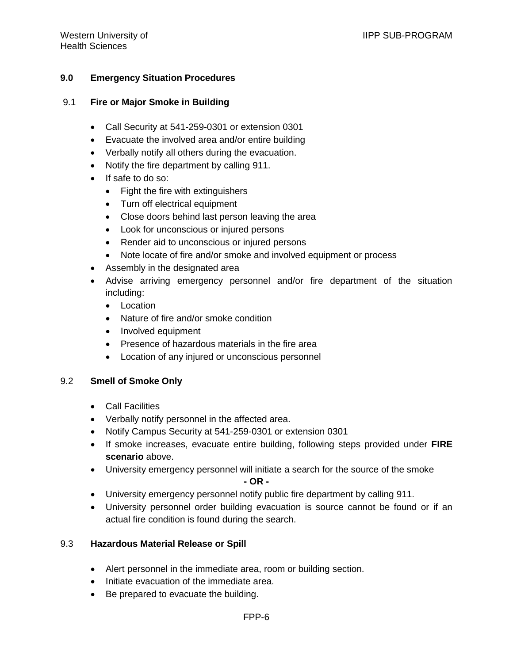# **9.0 Emergency Situation Procedures**

### 9.1 **Fire or Major Smoke in Building**

- Call Security at 541-259-0301 or extension 0301
- Evacuate the involved area and/or entire building
- Verbally notify all others during the evacuation.
- Notify the fire department by calling 911.
- If safe to do so:
	- Fight the fire with extinguishers
	- Turn off electrical equipment
	- Close doors behind last person leaving the area
	- Look for unconscious or injured persons
	- Render aid to unconscious or injured persons
	- Note locate of fire and/or smoke and involved equipment or process
- Assembly in the designated area
- Advise arriving emergency personnel and/or fire department of the situation including:
	- Location
	- Nature of fire and/or smoke condition
	- Involved equipment
	- Presence of hazardous materials in the fire area
	- Location of any injured or unconscious personnel

### 9.2 **Smell of Smoke Only**

- Call Facilities
- Verbally notify personnel in the affected area.
- Notify Campus Security at 541-259-0301 or extension 0301
- If smoke increases, evacuate entire building, following steps provided under **FIRE scenario** above.
- University emergency personnel will initiate a search for the source of the smoke **- OR -**
- University emergency personnel notify public fire department by calling 911.
- University personnel order building evacuation is source cannot be found or if an actual fire condition is found during the search.

### 9.3 **Hazardous Material Release or Spill**

- Alert personnel in the immediate area, room or building section.
- Initiate evacuation of the immediate area.
- Be prepared to evacuate the building.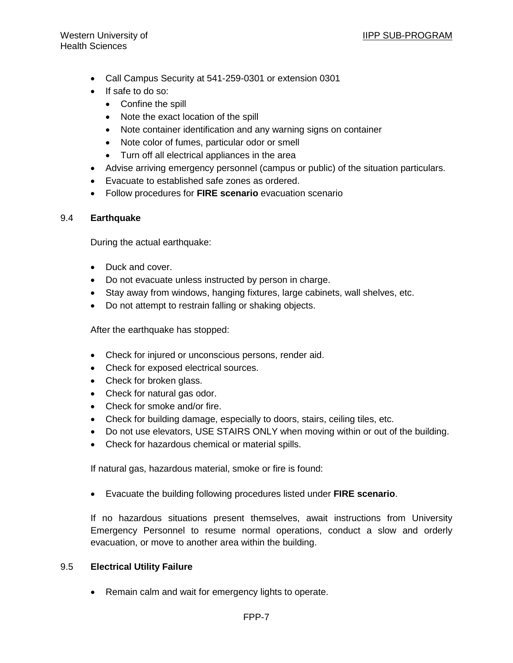- Call Campus Security at 541-259-0301 or extension 0301
- If safe to do so:
	- Confine the spill
	- Note the exact location of the spill
	- Note container identification and any warning signs on container
	- Note color of fumes, particular odor or smell
	- Turn off all electrical appliances in the area
- Advise arriving emergency personnel (campus or public) of the situation particulars.
- Evacuate to established safe zones as ordered.
- Follow procedures for **FIRE scenario** evacuation scenario

# 9.4 **Earthquake**

During the actual earthquake:

- Duck and cover.
- Do not evacuate unless instructed by person in charge.
- Stay away from windows, hanging fixtures, large cabinets, wall shelves, etc.
- Do not attempt to restrain falling or shaking objects.

After the earthquake has stopped:

- Check for injured or unconscious persons, render aid.
- Check for exposed electrical sources.
- Check for broken glass.
- Check for natural gas odor.
- Check for smoke and/or fire.
- Check for building damage, especially to doors, stairs, ceiling tiles, etc.
- Do not use elevators, USE STAIRS ONLY when moving within or out of the building.
- Check for hazardous chemical or material spills.

If natural gas, hazardous material, smoke or fire is found:

• Evacuate the building following procedures listed under **FIRE scenario**.

If no hazardous situations present themselves, await instructions from University Emergency Personnel to resume normal operations, conduct a slow and orderly evacuation, or move to another area within the building.

# 9.5 **Electrical Utility Failure**

• Remain calm and wait for emergency lights to operate.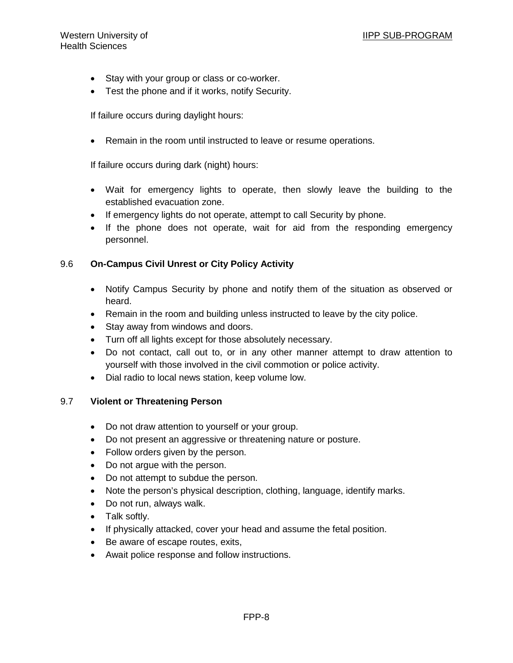- Stay with your group or class or co-worker.
- Test the phone and if it works, notify Security.

If failure occurs during daylight hours:

• Remain in the room until instructed to leave or resume operations.

If failure occurs during dark (night) hours:

- Wait for emergency lights to operate, then slowly leave the building to the established evacuation zone.
- If emergency lights do not operate, attempt to call Security by phone.
- If the phone does not operate, wait for aid from the responding emergency personnel.

### 9.6 **On-Campus Civil Unrest or City Policy Activity**

- Notify Campus Security by phone and notify them of the situation as observed or heard.
- Remain in the room and building unless instructed to leave by the city police.
- Stay away from windows and doors.
- Turn off all lights except for those absolutely necessary.
- Do not contact, call out to, or in any other manner attempt to draw attention to yourself with those involved in the civil commotion or police activity.
- Dial radio to local news station, keep volume low.

### 9.7 **Violent or Threatening Person**

- Do not draw attention to yourself or your group.
- Do not present an aggressive or threatening nature or posture.
- Follow orders given by the person.
- Do not argue with the person.
- Do not attempt to subdue the person.
- Note the person's physical description, clothing, language, identify marks.
- Do not run, always walk.
- Talk softly.
- If physically attacked, cover your head and assume the fetal position.
- Be aware of escape routes, exits,
- Await police response and follow instructions.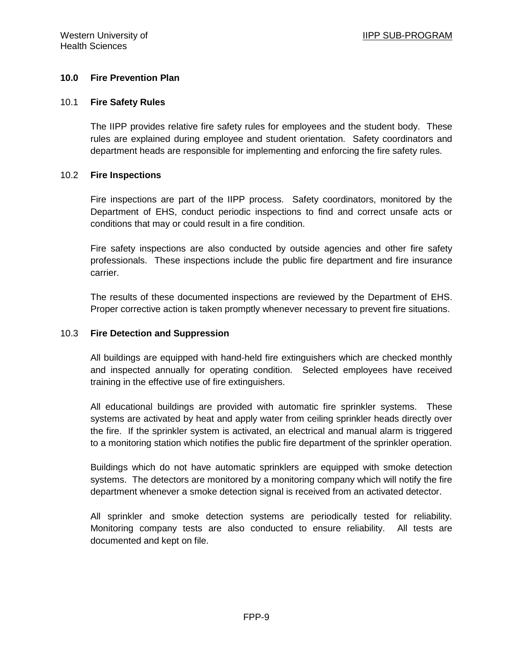## **10.0 Fire Prevention Plan**

#### 10.1 **Fire Safety Rules**

The IIPP provides relative fire safety rules for employees and the student body. These rules are explained during employee and student orientation. Safety coordinators and department heads are responsible for implementing and enforcing the fire safety rules.

### 10.2 **Fire Inspections**

Fire inspections are part of the IIPP process. Safety coordinators, monitored by the Department of EHS, conduct periodic inspections to find and correct unsafe acts or conditions that may or could result in a fire condition.

Fire safety inspections are also conducted by outside agencies and other fire safety professionals. These inspections include the public fire department and fire insurance carrier.

The results of these documented inspections are reviewed by the Department of EHS. Proper corrective action is taken promptly whenever necessary to prevent fire situations.

### 10.3 **Fire Detection and Suppression**

All buildings are equipped with hand-held fire extinguishers which are checked monthly and inspected annually for operating condition. Selected employees have received training in the effective use of fire extinguishers.

All educational buildings are provided with automatic fire sprinkler systems. These systems are activated by heat and apply water from ceiling sprinkler heads directly over the fire. If the sprinkler system is activated, an electrical and manual alarm is triggered to a monitoring station which notifies the public fire department of the sprinkler operation.

Buildings which do not have automatic sprinklers are equipped with smoke detection systems. The detectors are monitored by a monitoring company which will notify the fire department whenever a smoke detection signal is received from an activated detector.

All sprinkler and smoke detection systems are periodically tested for reliability. Monitoring company tests are also conducted to ensure reliability. All tests are documented and kept on file.